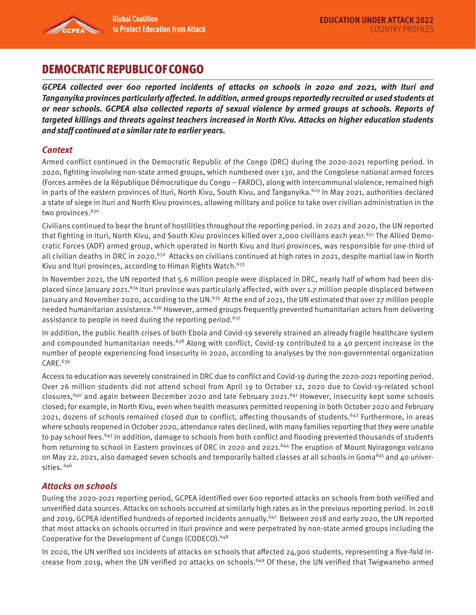

**Global Coalition** 

# DEMOCRATIC REPUBLIC OF CONGO

**GCPEA collected over 600 reported incidents of attacks on schools in 2020 and 2021, with Ituri and Tanganyika provinces particularly affected. In addition, armed groups reportedly recruited or used students at or near schools. GCPEA also collected reports of sexual violence by armed groups at schools. Reports of targeted killings and threats against teachers increased in North Kivu. Attacks on higher education students and staff continued at a similar rate to earlier years.** 

# **Context**

Armed conflict continued in the Democratic Republic of the Congo (DRC) during the 2020-2021 reporting period. In 2020, fighting involving non-state armed groups, which numbered over 130, and the Congolese national armed forces (Forces armées de la République Démocratique du Congo – FARDC), along with intercommunal violence, remained high in parts of the eastern provinces of Ituri, North Kivu, South Kivu, and Tanganyika.<sup>629</sup> In May 2021, authorities declared a state of siege in Ituri and North Kivu provinces, allowing military and police to take over civilian administration in the two provinces.<sup>630</sup>

Civilians continued to bear the brunt of hostilities throughout the reporting period. In 2021 and 2020, the UN reported that fighting in Ituri, North Kivu, and South Kivu provinces killed over 2,000 civilians each year.<sup>631</sup> The Allied Democratic Forces (ADF) armed group, which operated in North Kivu and Ituri provinces, was responsible for one-third of all civilian deaths in DRC in 2020.<sup>632</sup> Attacks on civilians continued at high rates in 2021, despite martial law in North Kivu and Ituri provinces, according to Himan Rights Watch.<sup>633</sup>

In November 2021, the UN reported that 5.6 million people were displaced in DRC, nearly half of whom had been displaced since January 2021.<sup>634</sup> Ituri province was particularly affected, with over 1.7 million people displaced between January and November 2020, according to the UN.<sup>635</sup> At the end of 2021, the UN estimated that over 27 million people needed humanitarian assistance.<sup>636</sup> However, armed groups frequently prevented humanitarian actors from delivering assistance to people in need during the reporting period.<sup>637</sup>

In addition, the public health crises of both Ebola and Covid-19 severely strained an already fragile healthcare system and compounded humanitarian needs.<sup>638</sup> Along with conflict, Covid-19 contributed to a 40 percent increase in the number of people experiencing food insecurity in 2020, according to analyses by the non-governmental organization CARE.<sup>639</sup>

Access to education was severely constrained in DRC due to conflict and Covid-19 during the 2020-2021 reporting period. Over 26 million students did not attend school from April 19 to October 12, 2020 due to Covid-19-related school closures,640 and again between December 2020 and late February 2021.641 However, insecurity kept some schools closed; for example, in North Kivu, even when health measures permitted reopening in both October 2020 and February 2021, dozens of schools remained closed due to conflict, affecting thousands of students.642 Furthermore, in areas where schools reopened in October 2020, attendance rates declined, with many families reporting that they were unable to pay school fees.<sup>643</sup> In addition, damage to schools from both conflict and flooding prevented thousands of students from returning to school in Eastern provinces of DRC in 2020 and 2021.<sup>644</sup> The eruption of Mount Nyiragongo volcano on May 22, 2021, also damaged seven schools and temporarily halted classes at all schools in Goma<sup>645</sup> and 40 universities. 646

## **Attacks on schools**

During the 2020-2021 reporting period, GCPEA identified over 600 reported attacks on schools from both verified and unverified data sources. Attacks on schools occurred at similarly high rates as in the previous reporting period. In 2018 and 2019, GCPEA identified hundreds of reported incidents annually.647 Between 2018 and early 2020, the UN reported that most attacks on schools occurred in Ituri province and were perpetrated by non-state armed groups including the Cooperative for the Development of Congo (CODECO).648

In 2020, the UN verified 101 incidents of attacks on schools that affected 24,900 students, representing a five-fold increase from 2019, when the UN verified 20 attacks on schools.<sup>649</sup> Of these, the UN verified that Twigwaneho armed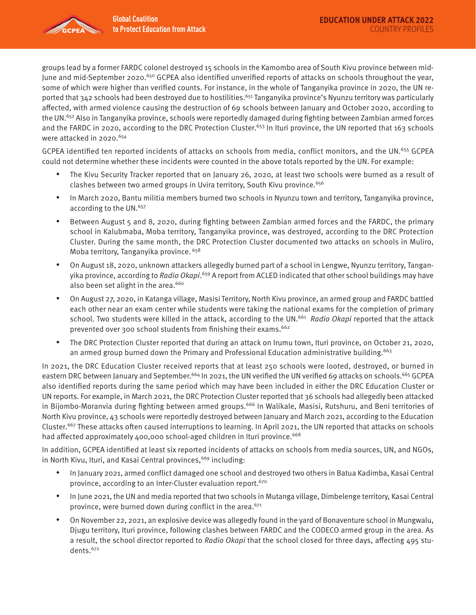

groups lead by a former FARDC colonel destroyed 15 schools in the Kamombo area of South Kivu province between mid-June and mid-September 2020.<sup>650</sup> GCPEA also identified unverified reports of attacks on schools throughout the year, some of which were higher than verified counts. For instance, in the whole of Tanganyika province in 2020, the UN reported that  $342$  schools had been destroyed due to hostilities.<sup>651</sup> Tanganyika province's Nyunzu territory was particularly affected, with armed violence causing the destruction of 69 schools between January and October 2020, according to the UN.652 Also in Tanganyika province, schools were reportedly damaged during fighting between Zambian armed forces and the FARDC in 2020, according to the DRC Protection Cluster.<sup>653</sup> In Ituri province, the UN reported that 163 schools were attacked in 2020.<sup>654</sup>

GCPEA identified ten reported incidents of attacks on schools from media, conflict monitors, and the UN.<sup>655</sup> GCPEA could not determine whether these incidents were counted in the above totals reported by the UN. For example:

- The Kivu Security Tracker reported that on January 26, 2020, at least two schools were burned as a result of clashes between two armed groups in Uvira territory, South Kivu province.<sup>656</sup>
- In March 2020, Bantu militia members burned two schools in Nyunzu town and territory, Tanganyika province, according to the UN.<sup>657</sup>
- Between August 5 and 8, 2020, during fighting between Zambian armed forces and the FARDC, the primary school in Kalubmaba, Moba territory, Tanganyika province, was destroyed, according to the DRC Protection Cluster. During the same month, the DRC Protection Cluster documented two attacks on schools in Muliro, Moba territory, Tanganyika province. 658
- On August 18, 2020, unknown attackers allegedly burned part of a school in Lengwe, Nyunzu territory, Tanganyika province, according to *Radio Okapi*.<sup>659</sup> A report from ACLED indicated that other school buildings may have also been set alight in the area.<sup>660</sup>
- On August 27, 2020, in Katanga village, Masisi Territory, North Kivu province, an armed group and FARDC battled each other near an exam center while students were taking the national exams for the completion of primary school. Two students were killed in the attack, according to the UN.<sup>661</sup> Radio Okapi reported that the attack prevented over 300 school students from finishing their exams.<sup>662</sup>
- The DRC Protection Cluster reported that during an attack on Irumu town, Ituri province, on October 21, 2020, an armed group burned down the Primary and Professional Education administrative building.<sup>663</sup>

In 2021, the DRC Education Cluster received reports that at least 250 schools were looted, destroyed, or burned in eastern DRC between January and September.<sup>664</sup> In 2021, the UN verified the UN verified 69 attacks on schools.<sup>665</sup> GCPEA also identified reports during the same period which may have been included in either the DRC Education Cluster or UN reports. For example, in March 2021, the DRC Protection Cluster reported that 36 schools had allegedly been attacked in Bijombo-Moranvia during fighting between armed groups.<sup>666</sup> In Walikale, Masisi, Rutshuru, and Beni territories of North Kivu province, 43 schools were reportedly destroyed between January and March 2021, according to the Education Cluster.667 These attacks often caused interruptions to learning. In April 2021, the UN reported that attacks on schools had affected approximately 400,000 school-aged children in Ituri province.<sup>668</sup>

In addition, GCPEA identified at least six reported incidents of attacks on schools from media sources, UN, and NGOs, in North Kivu, Ituri, and Kasai Central provinces,<sup>669</sup> including:

- In January 2021, armed conflict damaged one school and destroyed two others in Batua Kadimba, Kasai Central province, according to an Inter-Cluster evaluation report.<sup>670</sup>
- In June 2021, the UN and media reported that two schools in Mutanga village, Dimbelenge territory, Kasai Central province, were burned down during conflict in the area. $671$
- On November 22, 2021, an explosive device was allegedly found in the yard of Bonaventure school in Mungwalu, Djugu territory, Ituri province, following clashes between FARDC and the CODECO armed group in the area. As a result, the school director reported to Radio Okapi that the school closed for three days, affecting 495 students.672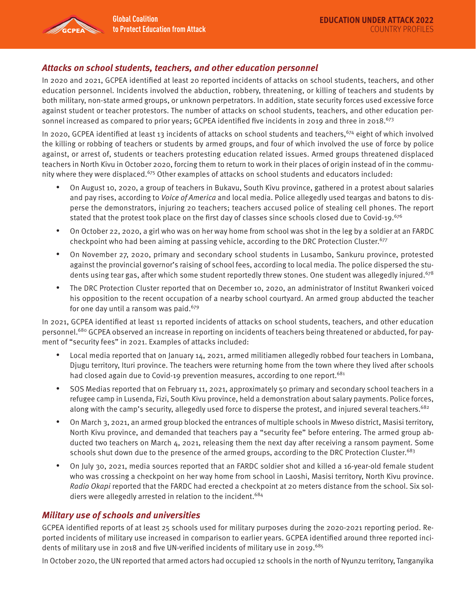#### **Attacks on school students, teachers, and other education personnel**

In 2020 and 2021, GCPEA identified at least 20 reported incidents of attacks on school students, teachers, and other education personnel. Incidents involved the abduction, robbery, threatening, or killing of teachers and students by both military, non-state armed groups, or unknown perpetrators. In addition, state security forces used excessive force against student or teacher protestors. The number of attacks on school students, teachers, and other education personnel increased as compared to prior years; GCPEA identified five incidents in 2019 and three in 2018.<sup>673</sup>

In 2020, GCPEA identified at least 13 incidents of attacks on school students and teachers, <sup>674</sup> eight of which involved the killing or robbing of teachers or students by armed groups, and four of which involved the use of force by police against, or arrest of, students or teachers protesting education related issues. Armed groups threatened displaced teachers in North Kivu in October 2020, forcing them to return to work in their places of origin instead of in the community where they were displaced.<sup>675</sup> Other examples of attacks on school students and educators included:

- On August 10, 2020, a group of teachers in Bukavu, South Kivu province, gathered in a protest about salaries and pay rises, according to Voice of America and local media. Police allegedly used teargas and batons to disperse the demonstrators, injuring 20 teachers; teachers accused police of stealing cell phones. The report stated that the protest took place on the first day of classes since schools closed due to Covid-19.<sup>676</sup>
- On October 22, 2020, a girl who was on her way home from school was shot in the leg by a soldier at an FARDC checkpoint who had been aiming at passing vehicle, according to the DRC Protection Cluster.<sup>677</sup>
- On November 27, 2020, primary and secondary school students in Lusambo, Sankuru province, protested against the provincial governor's raising of school fees, according to local media. The police dispersed the students using tear gas, after which some student reportedly threw stones. One student was allegedly injured.<sup>678</sup>
- The DRC Protection Cluster reported that on December 10, 2020, an administrator of Institut Rwankeri voiced his opposition to the recent occupation of a nearby school courtyard. An armed group abducted the teacher for one day until a ransom was paid. $679$

In 2021, GCPEA identified at least 11 reported incidents of attacks on school students, teachers, and other education personnel.<sup>680</sup> GCPEA observed an increase in reporting on incidents of teachers being threatened or abducted, for payment of "security fees" in 2021. Examples of attacks included:

- Local media reported that on January 14, 2021, armed militiamen allegedly robbed four teachers in Lombana, Djugu territory, Ituri province. The teachers were returning home from the town where they lived after schools had closed again due to Covid-19 prevention measures, according to one report.<sup>681</sup>
- SOS Medias reported that on February 11, 2021, approximately 50 primary and secondary school teachers in a refugee camp in Lusenda, Fizi, South Kivu province, held a demonstration about salary payments. Police forces, along with the camp's security, allegedly used force to disperse the protest, and injured several teachers.<sup>682</sup>
- On March 3, 2021, an armed group blocked the entrances of multiple schools in Mweso district, Masisi territory, North Kivu province, and demanded that teachers pay a "security fee" before entering. The armed group abducted two teachers on March 4, 2021, releasing them the next day after receiving a ransom payment. Some schools shut down due to the presence of the armed groups, according to the DRC Protection Cluster.<sup>683</sup>
- On July 30, 2021, media sources reported that an FARDC soldier shot and killed a 16-year-old female student who was crossing a checkpoint on her way home from school in Laoshi, Masisi territory, North Kivu province. Radio Okapi reported that the FARDC had erected a checkpoint at 20 meters distance from the school. Six soldiers were allegedly arrested in relation to the incident.<sup>684</sup>

## **Military use of schools and universities**

GCPEA identified reports of at least 25 schools used for military purposes during the 2020-2021 reporting period. Reported incidents of military use increased in comparison to earlier years. GCPEA identified around three reported incidents of military use in 2018 and five UN-verified incidents of military use in 2019.<sup>685</sup>

In October 2020, the UN reported that armed actors had occupied 12 schools in the north of Nyunzu territory, Tanganyika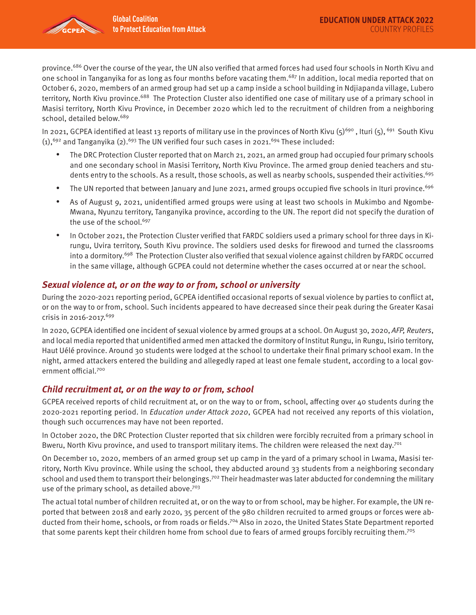

province.<sup>686</sup> Over the course of the year, the UN also verified that armed forces had used four schools in North Kivu and one school in Tanganyika for as long as four months before vacating them.<sup>687</sup> In addition, local media reported that on October 6, 2020, members of an armed group had set up a camp inside a school building in Ndjiapanda village, Lubero territory, North Kivu province.<sup>688</sup> The Protection Cluster also identified one case of military use of a primary school in Masisi territory, North Kivu Province, in December 2020 which led to the recruitment of children from a neighboring school, detailed below.<sup>689</sup>

In 2021, GCPEA identified at least 13 reports of military use in the provinces of North Kivu  $(5)^{690}$ , Ituri  $(5)$ ,  $^{691}$  South Kivu  $(1)$ ,<sup>692</sup> and Tanganyika (2).<sup>693</sup> The UN verified four such cases in 2021.<sup>694</sup> These included:

- The DRC Protection Cluster reported that on March 21, 2021, an armed group had occupied four primary schools and one secondary school in Masisi Territory, North Kivu Province. The armed group denied teachers and students entry to the schools. As a result, those schools, as well as nearby schools, suspended their activities.<sup>695</sup>
- The UN reported that between January and June 2021, armed groups occupied five schools in Ituri province.<sup>696</sup>
- As of August 9, 2021, unidentified armed groups were using at least two schools in Mukimbo and Ngombe-Mwana, Nyunzu territory, Tanganyika province, according to the UN. The report did not specify the duration of the use of the school.<sup>697</sup>
- In October 2021, the Protection Cluster verified that FARDC soldiers used a primary school for three days in Kirungu, Uvira territory, South Kivu province. The soldiers used desks for firewood and turned the classrooms into a dormitory.<sup>698</sup> The Protection Cluster also verified that sexual violence against children by FARDC occurred in the same village, although GCPEA could not determine whether the cases occurred at or near the school.

#### **Sexual violence at, or on the way to or from, school or university**

During the 2020-2021 reporting period, GCPEA identified occasional reports of sexual violence by parties to conflict at, or on the way to or from, school. Such incidents appeared to have decreased since their peak during the Greater Kasai crisis in 2016-2017.<sup>699</sup>

In 2020, GCPEA identified one incident of sexual violence by armed groups at a school. On August 30, 2020, AFP, Reuters, and local media reported that unidentified armed men attacked the dormitory of Institut Rungu, in Rungu, Isirio territory, Haut Uélé province. Around 30 students were lodged at the school to undertake their final primary school exam. In the night, armed attackers entered the building and allegedly raped at least one female student, according to a local government official.700

#### **Child recruitment at, or on the way to or from, school**

GCPEA received reports of child recruitment at, or on the way to or from, school, affecting over 40 students during the 2020-2021 reporting period. In Education under Attack 2020, GCPEA had not received any reports of this violation, though such occurrences may have not been reported.

In October 2020, the DRC Protection Cluster reported that six children were forcibly recruited from a primary school in Bweru, North Kivu province, and used to transport military items. The children were released the next day.<sup>701</sup>

On December 10, 2020, members of an armed group set up camp in the yard of a primary school in Lwama, Masisi territory, North Kivu province. While using the school, they abducted around 33 students from a neighboring secondary school and used them to transport their belongings.<sup>702</sup> Their headmaster was later abducted for condemning the military use of the primary school, as detailed above. $703$ 

The actual total number of children recruited at, or on the way to or from school, may be higher. For example, the UN reported that between 2018 and early 2020, 35 percent of the 980 children recruited to armed groups or forces were abducted from their home, schools, or from roads or fields.<sup>704</sup> Also in 2020, the United States State Department reported that some parents kept their children home from school due to fears of armed groups forcibly recruiting them.705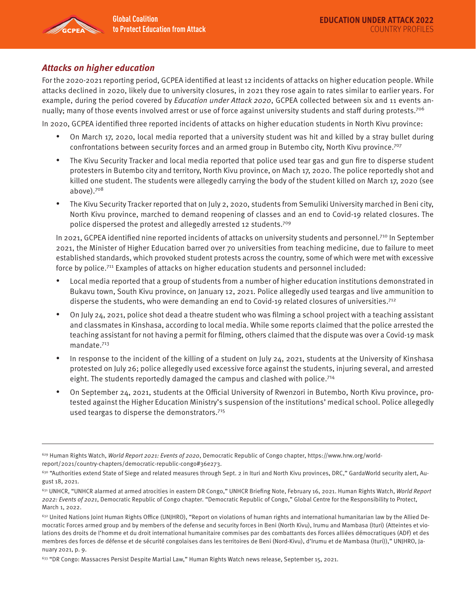

## **Attacks on higher education**

For the 2020-2021 reporting period, GCPEA identified at least 12 incidents of attacks on higher education people. While attacks declined in 2020, likely due to university closures, in 2021 they rose again to rates similar to earlier years. For example, during the period covered by Education under Attack 2020, GCPEA collected between six and 11 events annually; many of those events involved arrest or use of force against university students and staff during protests.<sup>706</sup>

In 2020, GCPEA identified three reported incidents of attacks on higher education students in North Kivu province:

- On March 17, 2020, local media reported that a university student was hit and killed by a stray bullet during confrontations between security forces and an armed group in Butembo city, North Kivu province.<sup>707</sup>
- The Kivu Security Tracker and local media reported that police used tear gas and gun fire to disperse student protesters in Butembo city and territory, North Kivu province, on Mach 17, 2020. The police reportedly shot and killed one student. The students were allegedly carrying the body of the student killed on March 17, 2020 (see above).708
- The Kivu Security Tracker reported that on July 2, 2020, students from Semuliki University marched in Beni city, North Kivu province, marched to demand reopening of classes and an end to Covid-19 related closures. The police dispersed the protest and allegedly arrested 12 students.<sup>709</sup>

In 2021, GCPEA identified nine reported incidents of attacks on university students and personnel.<sup>710</sup> In September 2021, the Minister of Higher Education barred over 70 universities from teaching medicine, due to failure to meet established standards, which provoked student protests across the country, some of which were met with excessive force by police.711 Examples of attacks on higher education students and personnel included:

- Local media reported that a group of students from a number of higher education institutions demonstrated in Bukavu town, South Kivu province, on January 12, 2021. Police allegedly used teargas and live ammunition to disperse the students, who were demanding an end to Covid-19 related closures of universities.<sup>712</sup>
- On July 24, 2021, police shot dead a theatre student who was filming a school project with a teaching assistant and classmates in Kinshasa, according to local media. While some reports claimed that the police arrested the teaching assistant for not having a permit for filming, others claimed that the dispute was over a Covid-19 mask mandate.713
- In response to the incident of the killing of a student on July 24, 2021, students at the University of Kinshasa protested on July 26; police allegedly used excessive force against the students, injuring several, and arrested eight. The students reportedly damaged the campus and clashed with police.<sup>714</sup>
- On September 24, 2021, students at the Official University of Rwenzori in Butembo, North Kivu province, protested against the Higher Education Ministry's suspension of the institutions' medical school. Police allegedly used teargas to disperse the demonstrators.715

 $629$  Human Rights Watch, World Report 2021: Events of 2020, Democratic Republic of Congo chapter, https://www.hrw.org/worldreport/2021/country-chapters/democratic-republic-congo#36e273.

<sup>630 &</sup>quot;Authorities extend State of Siege and related measures through Sept. 2 in Ituri and North Kivu provinces, DRC," GardaWorld security alert, August 18, 2021.

<sup>631</sup> UNHCR, "UNHCR alarmed at armed atrocities in eastern DR Congo," UNHCR Briefing Note, February 16, 2021. Human Rights Watch, World Report 2022: Events of 2021, Democratic Republic of Congo chapter. "Democratic Republic of Congo," Global Centre for the Responsibility to Protect, March 1, 2022.

 $632$  United Nations Joint Human Rights Office (UNJHRO), "Report on violations of human rights and international humanitarian law by the Allied Democratic Forces armed group and by members of the defense and security forces in Beni (North Kivu), Irumu and Mambasa (Ituri) (Atteintes et violations des droits de l'homme et du droit international humanitaire commises par des combattants des Forces alliées démocratiques (ADF) et des membres des forces de défense et de sécurité congolaises dans les territoires de Beni (Nord-Kivu), d'Irumu et de Mambasa (Ituri))," UNJHRO, January 2021, p. 9.

<sup>&</sup>lt;sup>633</sup> "DR Congo: Massacres Persist Despite Martial Law," Human Rights Watch news release, September 15, 2021.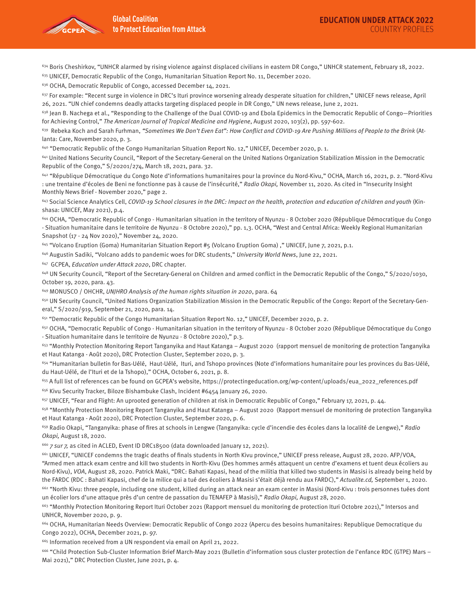

 $634$  Boris Cheshirkov, "UNHCR alarmed by rising violence against displaced civilians in eastern DR Congo," UNHCR statement, February 18, 2022.

635 UNICEF, Democratic Republic of the Congo, Humanitarian Situation Report No. 11, December 2020.

<sup>636</sup> OCHA, Democratic Republic of Congo, accessed December 14, 2021.

 $637$  For example: "Recent surge in violence in DRC's Ituri province worsening already desperate situation for children," UNICEF news release, April 26, 2021. "UN chief condemns deadly attacks targeting displaced people in DR Congo," UN news release, June 2, 2021.

 $638$  Jean B. Nachega et al., "Responding to the Challenge of the Dual COVID-19 and Ebola Epidemics in the Democratic Republic of Congo—Priorities for Achieving Control," The American Journal of Tropical Medicine and Hygiene, August 2020, 103(2), pp. 597-602.

 $639$  Rebeka Koch and Sarah Furhman, "Sometimes We Don't Even Eat": How Conflict and COVID-19 Are Pushing Millions of People to the Brink (Atlanta: Care, November 2020, p. 3.

640 "Democratic Republic of the Congo Humanitarian Situation Report No. 12," UNICEF, December 2020, p. 1.

641 United Nations Security Council, "Report of the Secretary-General on the United Nations Organization Stabilization Mission in the Democratic Republic of the Congo," S/20201/274, March 18, 2021, para. 32.

642 "République Démocratique du Congo Note d'informations humanitaires pour la province du Nord-Kivu," OCHA, March 16, 2021, p. 2. "Nord-Kivu : une trentaine d'écoles de Beni ne fonctionne pas à cause de l'insécurité," Radio Okapi, November 11, 2020. As cited in "Insecurity Insight Monthly News Brief - November 2020," page 2.

<sup>643</sup> Social Science Analytics Cell, COVID-19 School closures in the DRC: Impact on the health, protection and education of children and youth (Kinshasa: UNICEF, May 2021), p.4.

644 OCHA, "Democratic Republic of Congo - Humanitarian situation in the territory of Nyunzu - 8 October 2020 (République Démocratique du Congo - Situation humanitaire dans le territoire de Nyunzu - 8 Octobre 2020)," pp. 1,3. OCHA, "West and Central Africa: Weekly Regional Humanitarian Snapshot (17 - 24 Nov 2020)," November 24, 2020.

645 "Volcano Eruption (Goma) Humanitarian Situation Report #5 (Volcano Eruption Goma) ," UNICEF, June 7, 2021, p.1.

<sup>646</sup> Augustin Sadiki, "Volcano adds to pandemic woes for DRC students," University World News, June 22, 2021.

647 GCPEA, Education under Attack 2020, DRC chapter.

648 UN Security Council, "Report of the Secretary-General on Children and armed conflict in the Democratic Republic of the Congo," S/2020/1030, October 19, 2020, para. 43.

649 MONUSCO / OHCHR, UNJHRO Analysis of the human rights situation in 2020, para. 64

<sup>650</sup> UN Security Council, "United Nations Organization Stabilization Mission in the Democratic Republic of the Congo: Report of the Secretary-General," S/2020/919, September 21, 2020, para. 14.

651 "Democratic Republic of the Congo Humanitarian Situation Report No. 12," UNICEF, December 2020, p. 2.

<sup>652</sup> OCHA, "Democratic Republic of Congo - Humanitarian situation in the territory of Nyunzu - 8 October 2020 (République Démocratique du Congo - Situation humanitaire dans le territoire de Nyunzu - 8 Octobre 2020)," p.3.

<sup>653</sup> "Monthly Protection Monitoring Report Tanganyika and Haut Katanga – August 2020 (rapport mensuel de monitoring de protection Tanganyika et Haut Katanga - Août 2020), DRC Protection Cluster, September 2020, p. 3.

654 "Humanitarian bulletin for Bas-Uélé, Haut-Uélé, Ituri, and Tshopo provinces (Note d'informations humanitaire pour les provinces du Bas-Uélé, du Haut-Uélé, de l'Ituri et de la Tshopo)," OCHA, October 6, 2021, p. 8.

655 A full list of references can be found on GCPEA's website, https://protectingeducation.org/wp-content/uploads/eua\_2022\_references.pdf 656 Kivu Security Tracker, Biloze Bishambuke Clash, Incident #6454 January 26, 2020.

<sup>657</sup> UNICEF, "Fear and Flight: An uprooted generation of children at risk in Democratic Republic of Congo," February 17, 2021, p. 44.

<sup>658</sup> "Monthly Protection Monitoring Report Tanganyika and Haut Katanga – August 2020 (Rapport mensuel de monitoring de protection Tanganyika et Haut Katanga - Août 2020), DRC Protection Cluster, September 2020, p. 6.

<sup>659</sup> Radio Okapi, "Tanganyika: phase of fires at schools in Lengwe (Tanganyika: cycle d'incendie des écoles dans la localité de Lengwe)," Radio Okapi, August 18, 2020.

<sup>660</sup> 7 sur 7, as cited in ACLED, Event ID DRC18500 (data downloaded January 12, 2021).

661 UNICEF, "UNICEF condemns the tragic deaths of finals students in North Kivu province," UNICEF press release, August 28, 2020. AFP/VOA, "Armed men attack exam centre and kill two students in North-Kivu (Des hommes armés attaquent un centre d'examens et tuent deux écoliers au Nord-Kivu), VOA, August 28, 2020. Patrick Maki, "DRC: Bahati Kapasi, head of the militia that killed two students in Masisi is already being held by the FARDC (RDC : Bahati Kapasi, chef de la milice qui a tué des écoliers à Masisi s'était déjà rendu aux FARDC)," Actualite.cd, September 1, 2020.

662 "North Kivu: three people, including one student, killed during an attack near an exam center in Masisi (Nord-Kivu : trois personnes tuées dont un écolier lors d'une attaque près d'un centre de passation du TENAFEP à Masisi)," Radio Okapi, August 28, 2020.

<sup>663</sup> "Monthly Protection Monitoring Report Ituri October 2021 (Rapport mensuel du monitoring de protection Ituri Octobre 2021)," Intersos and UNHCR, November 2020, p. 9.

664 OCHA, Humanitarian Needs Overview: Democratic Republic of Congo 2022 (Apercu des besoins humanitaires: Republique Democratique du Congo 2022), OCHA, December 2021, p. 97.

665 Information received from a UN respondent via email on April 21, 2022.

666 "Child Protection Sub-Cluster Information Brief March-May 2021 (Bulletin d'information sous cluster protection de l'enfance RDC (GTPE) Mars – Mai 2021)," DRC Protection Cluster, June 2021, p. 4.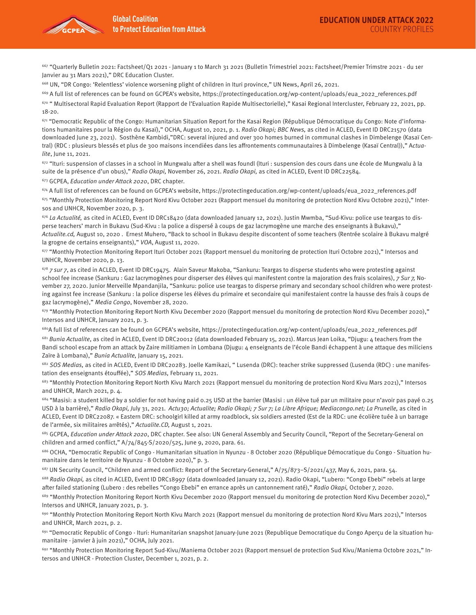667 "Quarterly Bulletin 2021: Factsheet/Q1 2021 - January 1 to March 31 2021 (Bulletin Trimestriel 2021: Factsheet/Premier Trimstre 2021 - du 1er Janvier au 31 Mars 2021)," DRC Education Cluster.

668 UN, "DR Congo: 'Relentless' violence worsening plight of children in Ituri province," UN News, April 26, 2021.

<sup>669</sup> A full list of references can be found on GCPEA's website, https://protectingeducation.org/wp-content/uploads/eua\_2022\_references.pdf

670 " Multisectoral Rapid Evaluation Report (Rapport de l'Evaluation Rapide Multisectorielle)," Kasai Regional Intercluster, February 22, 2021, pp. 18-20.

 $671$  "Democratic Republic of the Congo: Humanitarian Situation Report for the Kasai Region (République Démocratique du Congo: Note d'informations humanitaires pour la Région du Kasaï)," OCHA, August 10, 2021, p. 1. Radio Okapi; BBC News, as cited in ACLED, Event ID DRC21570 (data downloaded June 23, 2021). Sosthène Kambidi,"DRC: several injured and over 300 homes burned in communal clashes in Dimbelenge (Kasaï Central) (RDC : plusieurs blessés et plus de 300 maisons incendiées dans les affrontements communautaires à Dimbelenge (Kasaï Central))," Actualite, June 11, 2021.

<sup>672</sup> "Ituri: suspension of classes in a school in Mungwalu after a shell was foundl (Ituri : suspension des cours dans une école de Mungwalu à la suite de la présence d'un obus)," Radio Okapi, November 26, 2021. Radio Okapi, as cited in ACLED, Event ID DRC22584.

673 GCPEA, Education under Attack 2020, DRC chapter.

674 A full list of references can be found on GCPEA's website, https://protectingeducation.org/wp-content/uploads/eua\_2022\_references.pdf

675 "Monthly Protection Monitoring Report Nord Kivu October 2021 (Rapport mensuel du monitoring de protection Nord Kivu Octobre 2021)," Intersos and UNHCR, November 2020, p. 3.

 $676$  La Actualité, as cited in ACLED, Event ID DRC18420 (data downloaded January 12, 2021). Justin Mwmba, "Sud-Kivu: police use teargas to disperse teachers' march in Bukavu (Sud-Kivu : la police a dispersé à coups de gaz lacrymogène une marche des enseignants à Bukavu)," Actualite.cd, August 10, 2020. Ernest Muhero, "Back to school in Bukavu despite discontent of some teachers (Rentrée scolaire à Bukavu malgré la grogne de certains enseignants)," VOA, August 11, 2020.

677 "Monthly Protection Monitoring Report Ituri October 2021 (Rapport mensuel du monitoring de protection Ituri Octobre 2021)," Intersos and UNHCR, November 2020, p. 13.

<sup>678</sup> 7 sur 7, as cited in ACLED, Event ID DRC19475. Alain Saveur Makoba, "Sankuru: Teargas to disperse students who were protesting against school fee increase (Sankuru : Gaz lacrymogènes pour disperser des élèves qui manifestent contre la majoration des frais scolaires), 7 Sur 7, November 27, 2020. Junior Merveille Mpandanjila, "Sankuru: police use teargas to disperse primary and secondary school children who were protesting against fee increase (Sankuru : la police disperse les élèves du primaire et secondaire qui manifestaient contre la hausse des frais à coups de gaz lacrymogène)," Media Congo, November 28, 2020.

 $679$  "Monthly Protection Monitoring Report North Kivu December 2020 (Rapport mensuel du monitoring de protection Nord Kivu December 2020)," Intersos and UNHCR, January 2021, p. 3.

680A full list of references can be found on GCPEA's website, https://protectingeducation.org/wp-content/uploads/eua\_2022\_references.pdf  $681$  Bunia Actualite, as cited in ACLED, Event ID DRC20012 (data downloaded February 15, 2021). Marcus Jean Loika, "Djugu: 4 teachers from the Bandi school escape from an attack by Zaire militiamen in Lombana (Djugu: 4 enseignants de l'école Bandi échappent à une attaque des miliciens Zaïre à Lombana)," Bunia Actualite, January 15, 2021.

682 SOS Medias, as cited in ACLED, Event ID DRC20283, Joelle Kamikazi, "Lusenda (DRC): teacher strike suppressed (Lusenda (RDC) : une manifestation des enseignants étouffée)," SOS Medias, February 11, 2021.

<sup>683</sup> "Monthly Protection Monitoring Report North Kivu March 2021 (Rapport mensuel du monitoring de protection Nord Kivu Mars 2021)," Intersos and UNHCR, March 2021, p. 4.

 $684$  "Masisi: a student killed by a soldier for not having paid 0.25 USD at the barrier (Masisi : un élève tué par un militaire pour n'avoir pas payé 0.25 USD à la barrière)," Radio Okapi, July 31, 2021. Actu30; Actualite; Radio Okapi; 7 Sur 7; La Libre Afrique; Mediacongo.net; La Prunelle, as cited in ACLED, Event ID DRC22087. « Eastern DRC: schoolgirl killed at army roadblock, six soldiers arrested (Est de la RDC: une écolière tuée à un barrage de l'armée, six militaires arrêtés)," Actualite.CD, August 1, 2021.

<sup>685</sup> GCPEA, Education under Attack 2020, DRC chapter. See also: UN General Assembly and Security Council, "Report of the Secretary-General on children and armed conflict," A/74/845-S/2020/525, June 9, 2020, para. 61.

686 OCHA, "Democratic Republic of Congo - Humanitarian situation in Nyunzu - 8 October 2020 (République Démocratique du Congo - Situation humanitaire dans le territoire de Nyunzu - 8 Octobre 2020)," p. 3.

 $687$  UN Security Council, "Children and armed conflict: Report of the Secretary-General,"  $A/75/873-5/2021/437$ , May 6, 2021, para. 54.

<sup>688</sup> Radio Okapi, as cited in ACLED, Event ID DRC18997 (data downloaded January 12, 2021). Radio Okapi, "Lubero: "Congo Ebebi" rebels at large after failed stationing (Lubero : des rebelles "Congo Ebebi" en errance après un cantonnement raté)," Radio Okapi, October 7, 2020.

<sup>689</sup> "Monthly Protection Monitoring Report North Kivu December 2020 (Rapport mensuel du monitoring de protection Nord Kivu December 2020)," Intersos and UNHCR, January 2021, p. 3.

690 "Monthly Protection Monitoring Report North Kivu March 2021 (Rapport mensuel du monitoring de protection Nord Kivu Mars 2021)," Intersos and UNHCR, March 2021, p. 2.

691 "Democratic Republic of Congo - Ituri: Humanitarian snapshot January-June 2021 (Republique Democratique du Congo Aperçu de la situation humanitaire - janvier à juin 2021)," OCHA, July 2021.

692 "Monthly Protection Monitoring Report Sud-Kivu/Maniema October 2021 (Rapport mensuel de protection Sud Kivu/Maniema Octobre 2021," Intersos and UNHCR - Protection Cluster, December 1, 2021, p. 2.